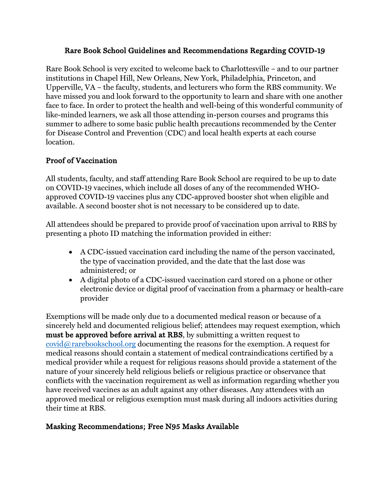#### Rare Book School Guidelines and Recommendations Regarding COVID-19

Rare Book School is very excited to welcome back to Charlottesville – and to our partner institutions in Chapel Hill, New Orleans, New York, Philadelphia, Princeton, and Upperville, VA – the faculty, students, and lecturers who form the RBS community. We have missed you and look forward to the opportunity to learn and share with one another face to face. In order to protect the health and well-being of this wonderful community of like-minded learners, we ask all those attending in-person courses and programs this summer to adhere to some basic public health precautions recommended by the Center for Disease Control and Prevention (CDC) and local health experts at each course location.

## Proof of Vaccination

All students, faculty, and staff attending Rare Book School are required to be up to date on COVID-19 vaccines, which include all doses of any of the recommended WHOapproved COVID-19 vaccines plus any CDC-approved booster shot when eligible and available. A second booster shot is not necessary to be considered up to date.

All attendees should be prepared to provide proof of vaccination upon arrival to RBS by presenting a photo ID matching the information provided in either:

- A CDC-issued vaccination card including the name of the person vaccinated, the type of vaccination provided, and the date that the last dose was administered; or
- A digital photo of a CDC-issued vaccination card stored on a phone or other electronic device or digital proof of vaccination from a pharmacy or health-care provider

Exemptions will be made only due to a documented medical reason or because of a sincerely held and documented religious belief; attendees may request exemption, which must be approved before arrival at RBS, by submitting a written request to covid@rarebookschool.org documenting the reasons for the exemption. A request for medical reasons should contain a statement of medical contraindications certified by a medical provider while a request for religious reasons should provide a statement of the nature of your sincerely held religious beliefs or religious practice or observance that conflicts with the vaccination requirement as well as information regarding whether you have received vaccines as an adult against any other diseases. Any attendees with an approved medical or religious exemption must mask during all indoors activities during their time at RBS.

## Masking Recommendations; Free N95 Masks Available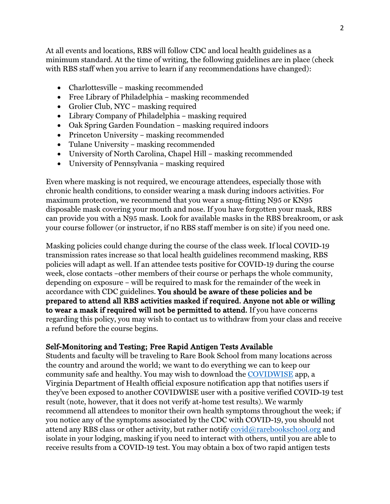At all events and locations, RBS will follow CDC and local health guidelines as a minimum standard. At the time of writing, the following guidelines are in place (check with RBS staff when you arrive to learn if any recommendations have changed):

- Charlottesville masking recommended
- Free Library of Philadelphia masking recommended
- Grolier Club, NYC masking required
- Library Company of Philadelphia masking required
- Oak Spring Garden Foundation masking required indoors
- Princeton University masking recommended
- Tulane University masking recommended
- University of North Carolina, Chapel Hill masking recommended
- University of Pennsylvania masking required

Even where masking is not required, we encourage attendees, especially those with chronic health conditions, to consider wearing a mask during indoors activities. For maximum protection, we recommend that you wear a snug-fitting N95 or KN95 disposable mask covering your mouth and nose. If you have forgotten your mask, RBS can provide you with a N95 mask. Look for available masks in the RBS breakroom, or ask your course follower (or instructor, if no RBS staff member is on site) if you need one.

Masking policies could change during the course of the class week. If local COVID-19 transmission rates increase so that local health guidelines recommend masking, RBS policies will adapt as well. If an attendee tests positive for COVID-19 during the course week, close contacts –other members of their course or perhaps the whole community, depending on exposure – will be required to mask for the remainder of the week in accordance with CDC guidelines. You should be aware of these policies and be prepared to attend all RBS activities masked if required. Anyone not able or willing to wear a mask if required will not be permitted to attend. If you have concerns regarding this policy, you may wish to contact us to withdraw from your class and receive a refund before the course begins.

#### Self-Monitoring and Testing; Free Rapid Antigen Tests Available

Students and faculty will be traveling to Rare Book School from many locations across the country and around the world; we want to do everything we can to keep our community safe and healthy. You may wish to download the COVIDWISE app, a Virginia Department of Health official exposure notification app that notifies users if they've been exposed to another COVIDWISE user with a positive verified COVID-19 test result (note, however, that it does not verify at-home test results). We warmly recommend all attendees to monitor their own health symptoms throughout the week; if you notice any of the symptoms associated by the CDC with COVID-19, you should not attend any RBS class or other activity, but rather notify  $\mathrm{covid}(\mathcal{Q})$  rarebookschool.org and isolate in your lodging, masking if you need to interact with others, until you are able to receive results from a COVID-19 test. You may obtain a box of two rapid antigen tests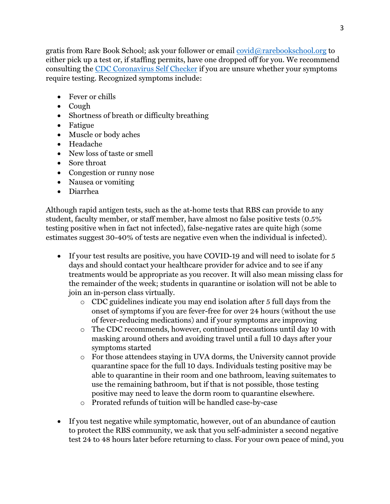gratis from Rare Book School; ask your follower or email covid@rarebookschool.org to either pick up a test or, if staffing permits, have one dropped off for you. We recommend consulting the CDC Coronavirus Self Checker if you are unsure whether your symptoms require testing. Recognized symptoms include:

- Fever or chills
- Cough
- Shortness of breath or difficulty breathing
- Fatigue
- Muscle or body aches
- Headache
- New loss of taste or smell
- Sore throat
- Congestion or runny nose
- Nausea or vomiting
- Diarrhea

Although rapid antigen tests, such as the at-home tests that RBS can provide to any student, faculty member, or staff member, have almost no false positive tests (0.5% testing positive when in fact not infected), false-negative rates are quite high (some estimates suggest 30-40% of tests are negative even when the individual is infected).

- If your test results are positive, you have COVID-19 and will need to isolate for 5 days and should contact your healthcare provider for advice and to see if any treatments would be appropriate as you recover. It will also mean missing class for the remainder of the week; students in quarantine or isolation will not be able to join an in-person class virtually.
	- o CDC guidelines indicate you may end isolation after 5 full days from the onset of symptoms if you are fever-free for over 24 hours (without the use of fever-reducing medications) and if your symptoms are improving
	- o The CDC recommends, however, continued precautions until day 10 with masking around others and avoiding travel until a full 10 days after your symptoms started
	- o For those attendees staying in UVA dorms, the University cannot provide quarantine space for the full 10 days. Individuals testing positive may be able to quarantine in their room and one bathroom, leaving suitemates to use the remaining bathroom, but if that is not possible, those testing positive may need to leave the dorm room to quarantine elsewhere.
	- o Prorated refunds of tuition will be handled case-by-case
- If you test negative while symptomatic, however, out of an abundance of caution to protect the RBS community, we ask that you self-administer a second negative test 24 to 48 hours later before returning to class. For your own peace of mind, you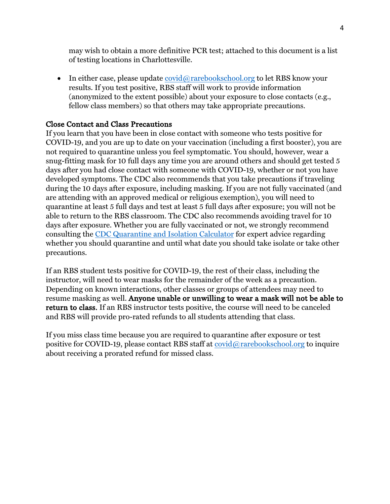may wish to obtain a more definitive PCR test; attached to this document is a list of testing locations in Charlottesville.

• In either case, please update  $\overline{c}$  covid $\overline{a}$  rarebookschool.org to let RBS know your results. If you test positive, RBS staff will work to provide information (anonymized to the extent possible) about your exposure to close contacts (e.g., fellow class members) so that others may take appropriate precautions.

#### Close Contact and Class Precautions

If you learn that you have been in close contact with someone who tests positive for COVID-19, and you are up to date on your vaccination (including a first booster), you are not required to quarantine unless you feel symptomatic. You should, however, wear a snug-fitting mask for 10 full days any time you are around others and should get tested 5 days after you had close contact with someone with COVID-19, whether or not you have developed symptoms. The CDC also recommends that you take precautions if traveling during the 10 days after exposure, including masking. If you are not fully vaccinated (and are attending with an approved medical or religious exemption), you will need to quarantine at least 5 full days and test at least 5 full days after exposure; you will not be able to return to the RBS classroom. The CDC also recommends avoiding travel for 10 days after exposure. Whether you are fully vaccinated or not, we strongly recommend consulting the CDC Quarantine and Isolation Calculator for expert advice regarding whether you should quarantine and until what date you should take isolate or take other precautions.

If an RBS student tests positive for COVID-19, the rest of their class, including the instructor, will need to wear masks for the remainder of the week as a precaution. Depending on known interactions, other classes or groups of attendees may need to resume masking as well. Anyone unable or unwilling to wear a mask will not be able to return to class. If an RBS instructor tests positive, the course will need to be canceled and RBS will provide pro-rated refunds to all students attending that class.

If you miss class time because you are required to quarantine after exposure or test positive for COVID-19, please contact RBS staff at  $\overline{covid}(\widehat{\omega}_r)$  rarebookschool.org to inquire about receiving a prorated refund for missed class.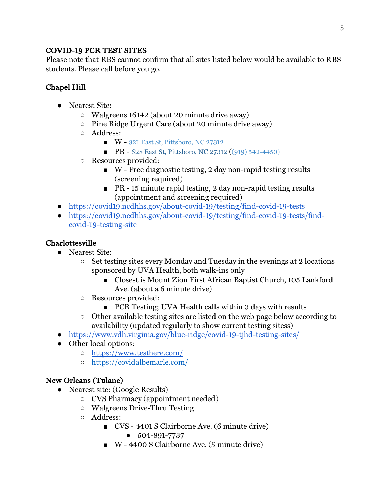#### COVID-19 PCR TEST SITES

Please note that RBS cannot confirm that all sites listed below would be available to RBS students. Please call before you go.

# Chapel Hill

- Nearest Site:
	- Walgreens 16142 (about 20 minute drive away)
	- Pine Ridge Urgent Care (about 20 minute drive away)
	- Address:
		- W 321 East St, Pittsboro, NC 27312
		- PR 628 East St, Pittsboro, NC 27312 ((919) 542-4450)
	- Resources provided:
		- $\blacksquare$  W Free diagnostic testing, 2 day non-rapid testing results (screening required)
		- PR 15 minute rapid testing, 2 day non-rapid testing results (appointment and screening required)
- https://covid19.ncdhhs.gov/about-covid-19/testing/find-covid-19-tests
- https://covid19.ncdhhs.gov/about-covid-19/testing/find-covid-19-tests/findcovid-19-testing-site

## Charlottesville

- Nearest Site:
	- $\circ$  Set testing sites every Monday and Tuesday in the evenings at 2 locations sponsored by UVA Health, both walk-ins only
		- Closest is Mount Zion First African Baptist Church, 105 Lankford Ave. (about a 6 minute drive)
	- Resources provided:
		- PCR Testing; UVA Health calls within 3 days with results
	- Other available testing sites are listed on the web page below according to availability (updated regularly to show current testing sitess)
- https://www.vdh.virginia.gov/blue-ridge/covid-19-tjhd-testing-sites/
- Other local options:
	- https://www.testhere.com/
	- https://covidalbemarle.com/

## New Orleans (Tulane)

- Nearest site: (Google Results)
	- CVS Pharmacy (appointment needed)
	- Walgreens Drive-Thru Testing
	- Address:
		- CVS 4401 S Clairborne Ave. (6 minute drive)
			- 504-891-7737
		- W 4400 S Clairborne Ave. (5 minute drive)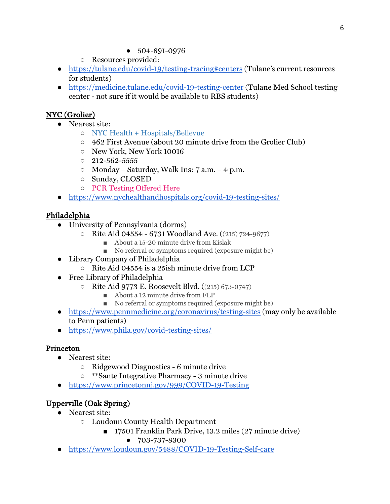- 504-891-0976
- Resources provided:
- https://tulane.edu/covid-19/testing-tracing#centers (Tulane's current resources for students)
- https://medicine.tulane.edu/covid-19-testing-center (Tulane Med School testing center - not sure if it would be available to RBS students)

## NYC (Grolier)

- Nearest site:
	- NYC Health + Hospitals/Bellevue
	- 462 First Avenue (about 20 minute drive from the Grolier Club)
	- New York, New York 10016
	- $0\quad 212 562 5555$
	- Monday Saturday, Walk Ins: 7 a.m. 4 p.m.
	- Sunday, CLOSED
	- PCR Testing Offered Here
- https://www.nychealthandhospitals.org/covid-19-testing-sites/

## Philadelphia

- University of Pennsylvania (dorms)
	- Rite Aid 04554 6731 Woodland Ave. ((215) 724-9677)
		- About a 15-20 minute drive from Kislak
		- No referral or symptoms required (exposure might be)
- Library Company of Philadelphia
	- Rite Aid 04554 is a 25ish minute drive from LCP
- Free Library of Philadelphia
	- Rite Aid 9773 E. Roosevelt Blvd. ((215) 673-0747)
		- About a 12 minute drive from FLP
		- No referral or symptoms required (exposure might be)
- https://www.pennmedicine.org/coronavirus/testing-sites (may only be available to Penn patients)
- https://www.phila.gov/covid-testing-sites/

## Princeton

- Nearest site:
	- Ridgewood Diagnostics 6 minute drive
	- \*\*Sante Integrative Pharmacy 3 minute drive
- https://www.princetonnj.gov/999/COVID-19-Testing

# Upperville (Oak Spring)

- Nearest site:
	- Loudoun County Health Department
		- 17501 Franklin Park Drive, 13.2 miles (27 minute drive) ● 703-737-8300
- https://www.loudoun.gov/5488/COVID-19-Testing-Self-care